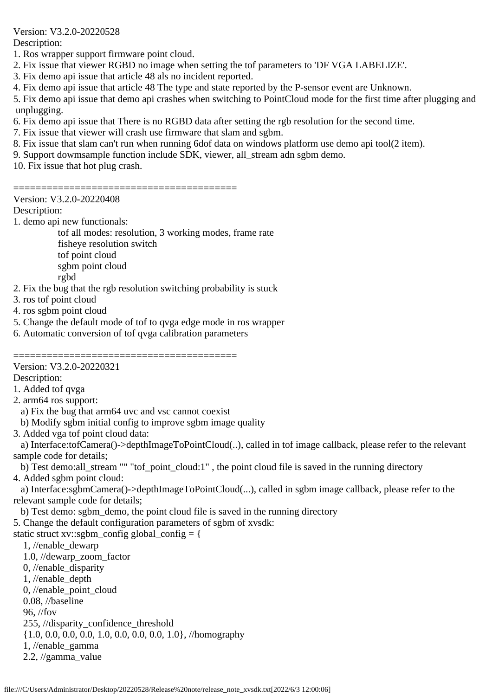Version: V3.2.0-20220528

Description:

1. Ros wrapper support firmware point cloud.

- 2. Fix issue that viewer RGBD no image when setting the tof parameters to 'DF VGA LABELIZE'.
- 3. Fix demo api issue that article 48 als no incident reported.
- 4. Fix demo api issue that article 48 The type and state reported by the P-sensor event are Unknown.
- 5. Fix demo api issue that demo api crashes when switching to PointCloud mode for the first time after plugging and unplugging.
- 6. Fix demo api issue that There is no RGBD data after setting the rgb resolution for the second time.
- 7. Fix issue that viewer will crash use firmware that slam and sgbm.
- 8. Fix issue that slam can't run when running 6dof data on windows platform use demo api tool(2 item).

9. Support dowmsample function include SDK, viewer, all\_stream adn sgbm demo.

========================================

10. Fix issue that hot plug crash.

# Version: V3.2.0-20220408

# Description:

1. demo api new functionals:

 tof all modes: resolution, 3 working modes, frame rate fisheye resolution switch

tof point cloud

sgbm point cloud

rgbd

- 2. Fix the bug that the rgb resolution switching probability is stuck
- 3. ros tof point cloud
- 4. ros sgbm point cloud
- 5. Change the default mode of tof to qvga edge mode in ros wrapper
- 6. Automatic conversion of tof qvga calibration parameters

======================== Version: V3.2.0-20220321

Description:

1. Added tof qvga

- 2. arm64 ros support:
- 
- a) Fix the bug that arm64 uvc and vsc cannot coexist b) Modify sgbm initial config to improve sgbm image quality
- 3. Added vga tof point cloud data:

 a) Interface:tofCamera()->depthImageToPointCloud(..), called in tof image callback, please refer to the relevant sample code for details;

 b) Test demo:all\_stream "" "tof\_point\_cloud:1" , the point cloud file is saved in the running directory 4. Added sgbm point cloud:

 a) Interface:sgbmCamera()->depthImageToPointCloud(...), called in sgbm image callback, please refer to the relevant sample code for details;

b) Test demo: sgbm\_demo, the point cloud file is saved in the running directory

5. Change the default configuration parameters of sgbm of xvsdk:

static struct xv::sgbm\_config global\_config =  $\{$ 

 1, //enable\_dewarp 1.0, //dewarp\_zoom\_factor 0, //enable\_disparity 1, //enable\_depth 0, //enable\_point\_cloud 0.08, //baseline 96, //fov 255, //disparity\_confidence\_threshold {1.0, 0.0, 0.0, 0.0, 1.0, 0.0, 0.0, 0.0, 1.0}, //homography 1, //enable\_gamma 2.2, //gamma\_value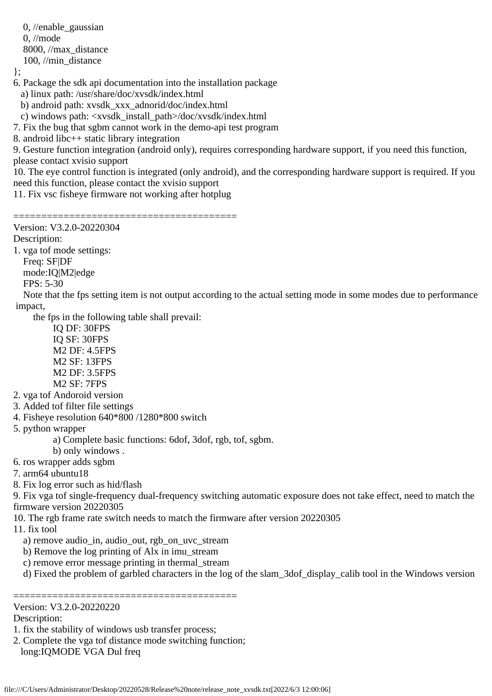0, //enable\_gaussian 0, //mode 8000, //max\_distance 100, //min\_distance

};

- 6. Package the sdk api documentation into the installation package
	- a) linux path: /usr/share/doc/xvsdk/index.html
	- b) android path: xvsdk\_xxx\_adnorid/doc/index.html
- c) windows path: <xvsdk\_install\_path>/doc/xvsdk/index.html
- 7. Fix the bug that sgbm cannot work in the demo-api test program
- 8. android libc++ static library integration
- 9. Gesture function integration (android only), requires corresponding hardware support, if you need this function, please contact xvisio support
- 10. The eye control function is integrated (only android), and the corresponding hardware support is required. If you need this function, please contact the xvisio support
- 11. Fix vsc fisheye firmware not working after hotplug
- ======================================== Version: V3.2.0-20220304
- Description:
- 1. vga tof mode settings:
- Freq: SF|DF
- mode:IQ|M2|edge
- FPS: 5-30
- Note that the fps setting item is not output according to the actual setting mode in some modes due to performance impact,
	- the fps in the following table shall prevail:
		- IQ DF: 30FPS IQ SF: 30FPS M2 DF: 4.5FPS M2 SF: 13FPS M2 DF: 3.5FPS M2 SF: 7FPS
- 2. vga tof Andoroid version
- 3. Added tof filter file settings
- 4. Fisheye resolution 640\*800 /1280\*800 switch
- 5. python wrapper
	- a) Complete basic functions: 6dof, 3dof, rgb, tof, sgbm.
	- b) only windows .
- 6. ros wrapper adds sgbm
- 7. arm64 ubuntu18
- 8. Fix log error such as hid/flash
- 9. Fix vga tof single-frequency dual-frequency switching automatic exposure does not take effect, need to match the firmware version 20220305
- 10. The rgb frame rate switch needs to match the firmware after version 20220305
- 11. fix tool
	- a) remove audio\_in, audio\_out, rgb\_on\_uvc\_stream
	- b) Remove the log printing of Alx in imu\_stream
	- c) remove error message printing in thermal\_stream
	- d) Fixed the problem of garbled characters in the log of the slam\_3dof\_display\_calib tool in the Windows version

#### ======================================== Version: V3.2.0-20220220

## Description:

- 1. fix the stability of windows usb transfer process;
- 2. Complete the vga tof distance mode switching function; long:IQMODE VGA Dul freq